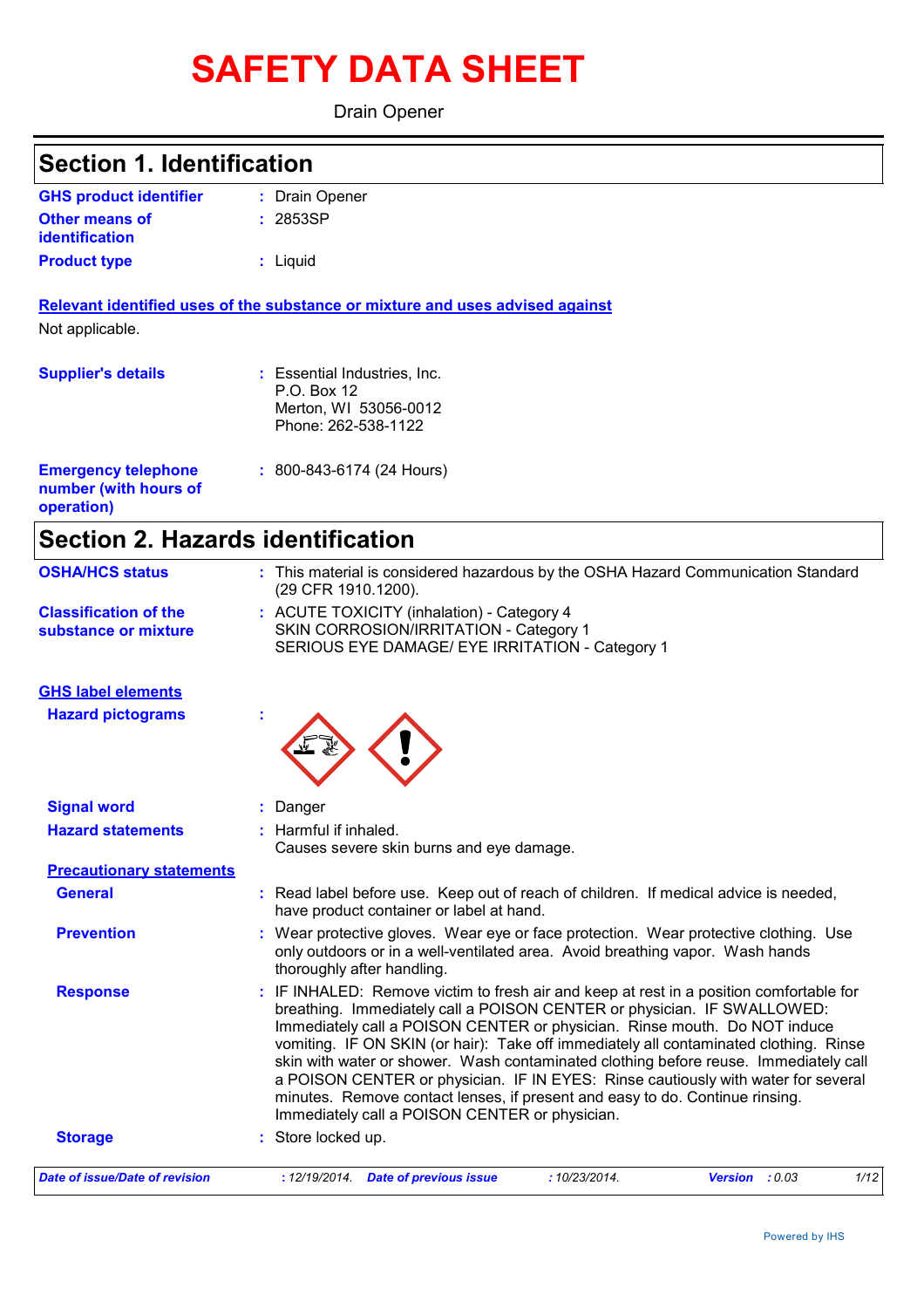# **SAFETY DATA SHEET**

Drain Opener

## **Section 1. Identification**

| <b>GHS product identifier</b> | : Drain Opener |
|-------------------------------|----------------|
| <b>Other means of</b>         | : 2853SP       |
| identification                |                |
| <b>Product type</b>           | : Liguid       |

**Relevant identified uses of the substance or mixture and uses advised against** Not applicable.

| <b>Supplier's details</b>                                         | : Essential Industries, Inc.<br>P.O. Box 12<br>Merton, WI 53056-0012<br>Phone: 262-538-1122 |
|-------------------------------------------------------------------|---------------------------------------------------------------------------------------------|
| <b>Emergency telephone</b><br>number (with hours of<br>operation) | $: 800 - 843 - 6174$ (24 Hours)                                                             |

## **Section 2. Hazards identification**

| <b>OSHA/HCS status</b>                               | : This material is considered hazardous by the OSHA Hazard Communication Standard<br>(29 CFR 1910.1200).                                                                                                                                                                                                                                                                                                                                                                                                                                                                                                                                                |
|------------------------------------------------------|---------------------------------------------------------------------------------------------------------------------------------------------------------------------------------------------------------------------------------------------------------------------------------------------------------------------------------------------------------------------------------------------------------------------------------------------------------------------------------------------------------------------------------------------------------------------------------------------------------------------------------------------------------|
| <b>Classification of the</b><br>substance or mixture | : ACUTE TOXICITY (inhalation) - Category 4<br>SKIN CORROSION/IRRITATION - Category 1<br>SERIOUS EYE DAMAGE/ EYE IRRITATION - Category 1                                                                                                                                                                                                                                                                                                                                                                                                                                                                                                                 |
| <b>GHS label elements</b>                            |                                                                                                                                                                                                                                                                                                                                                                                                                                                                                                                                                                                                                                                         |
| <b>Hazard pictograms</b>                             |                                                                                                                                                                                                                                                                                                                                                                                                                                                                                                                                                                                                                                                         |
| <b>Signal word</b>                                   | : Danger                                                                                                                                                                                                                                                                                                                                                                                                                                                                                                                                                                                                                                                |
| <b>Hazard statements</b>                             | : Harmful if inhaled.<br>Causes severe skin burns and eye damage.                                                                                                                                                                                                                                                                                                                                                                                                                                                                                                                                                                                       |
| <b>Precautionary statements</b>                      |                                                                                                                                                                                                                                                                                                                                                                                                                                                                                                                                                                                                                                                         |
| <b>General</b>                                       | : Read label before use. Keep out of reach of children. If medical advice is needed,<br>have product container or label at hand.                                                                                                                                                                                                                                                                                                                                                                                                                                                                                                                        |
| <b>Prevention</b>                                    | : Wear protective gloves. Wear eye or face protection. Wear protective clothing. Use<br>only outdoors or in a well-ventilated area. Avoid breathing vapor. Wash hands<br>thoroughly after handling.                                                                                                                                                                                                                                                                                                                                                                                                                                                     |
| <b>Response</b>                                      | : IF INHALED: Remove victim to fresh air and keep at rest in a position comfortable for<br>breathing. Immediately call a POISON CENTER or physician. IF SWALLOWED:<br>Immediately call a POISON CENTER or physician. Rinse mouth. Do NOT induce<br>vomiting. IF ON SKIN (or hair): Take off immediately all contaminated clothing. Rinse<br>skin with water or shower. Wash contaminated clothing before reuse. Immediately call<br>a POISON CENTER or physician. IF IN EYES: Rinse cautiously with water for several<br>minutes. Remove contact lenses, if present and easy to do. Continue rinsing.<br>Immediately call a POISON CENTER or physician. |
| <b>Storage</b>                                       | : Store locked up.                                                                                                                                                                                                                                                                                                                                                                                                                                                                                                                                                                                                                                      |
| Date of issue/Date of revision                       | :10/23/2014.<br>1/12<br>: 12/19/2014 Date of previous issue<br><b>Version</b> : $0.03$                                                                                                                                                                                                                                                                                                                                                                                                                                                                                                                                                                  |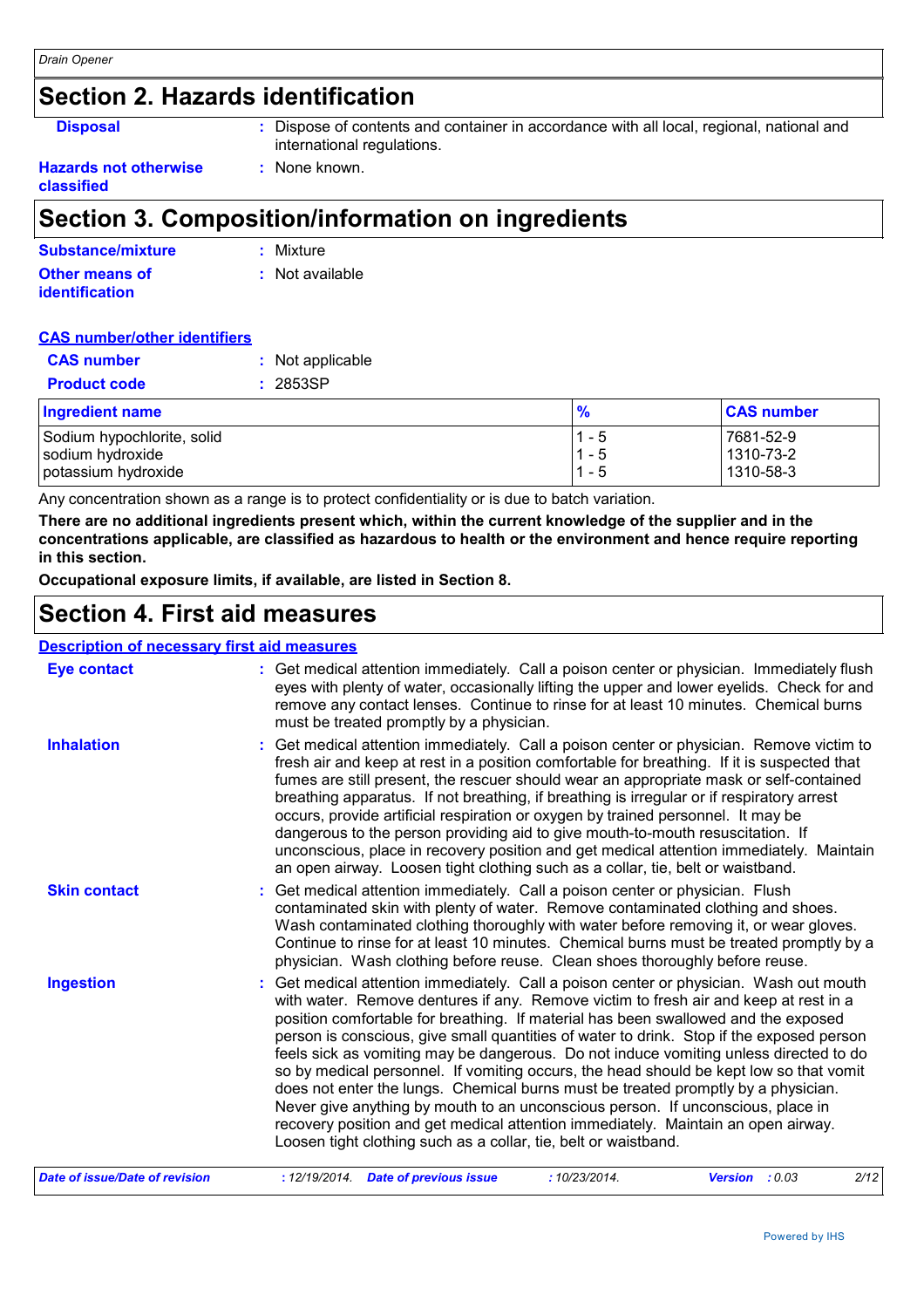## **Section 2. Hazards identification**

**Disposal <b>:** Dispose of contents and container in accordance with all local, regional, national and international regulations.

#### **Hazards not otherwise classified**

## **Section 3. Composition/information on ingredients**

**:** None known.

| Substance/mixture     | : Mixture       |
|-----------------------|-----------------|
| <b>Other means of</b> | : Not available |
| <i>identification</i> |                 |

#### **CAS number/other identifiers**

| <b>CAS number</b>          | : Not applicable |         |                   |
|----------------------------|------------------|---------|-------------------|
| <b>Product code</b>        | 2853SP           |         |                   |
| <b>Ingredient name</b>     |                  | %       | <b>CAS number</b> |
| Sodium hypochlorite, solid |                  | $1 - 5$ | 7681-52-9         |
| sodium hydroxide           |                  | $1 - 5$ | 1310-73-2         |
| potassium hydroxide        |                  | $1 - 5$ | 1310-58-3         |

Any concentration shown as a range is to protect confidentiality or is due to batch variation.

**There are no additional ingredients present which, within the current knowledge of the supplier and in the concentrations applicable, are classified as hazardous to health or the environment and hence require reporting in this section.**

**Occupational exposure limits, if available, are listed in Section 8.**

## **Section 4. First aid measures**

#### **Description of necessary first aid measures**

| <b>Eye contact</b>  | : Get medical attention immediately. Call a poison center or physician. Immediately flush<br>eyes with plenty of water, occasionally lifting the upper and lower eyelids. Check for and<br>remove any contact lenses. Continue to rinse for at least 10 minutes. Chemical burns<br>must be treated promptly by a physician.                                                                                                                                                                                                                                                                                                                                                                                                                                                                                                                                                         |
|---------------------|-------------------------------------------------------------------------------------------------------------------------------------------------------------------------------------------------------------------------------------------------------------------------------------------------------------------------------------------------------------------------------------------------------------------------------------------------------------------------------------------------------------------------------------------------------------------------------------------------------------------------------------------------------------------------------------------------------------------------------------------------------------------------------------------------------------------------------------------------------------------------------------|
| <b>Inhalation</b>   | : Get medical attention immediately. Call a poison center or physician. Remove victim to<br>fresh air and keep at rest in a position comfortable for breathing. If it is suspected that<br>fumes are still present, the rescuer should wear an appropriate mask or self-contained<br>breathing apparatus. If not breathing, if breathing is irregular or if respiratory arrest<br>occurs, provide artificial respiration or oxygen by trained personnel. It may be<br>dangerous to the person providing aid to give mouth-to-mouth resuscitation. If<br>unconscious, place in recovery position and get medical attention immediately. Maintain<br>an open airway. Loosen tight clothing such as a collar, tie, belt or waistband.                                                                                                                                                  |
| <b>Skin contact</b> | : Get medical attention immediately. Call a poison center or physician. Flush<br>contaminated skin with plenty of water. Remove contaminated clothing and shoes.<br>Wash contaminated clothing thoroughly with water before removing it, or wear gloves.<br>Continue to rinse for at least 10 minutes. Chemical burns must be treated promptly by a<br>physician. Wash clothing before reuse. Clean shoes thoroughly before reuse.                                                                                                                                                                                                                                                                                                                                                                                                                                                  |
| <b>Ingestion</b>    | : Get medical attention immediately. Call a poison center or physician. Wash out mouth<br>with water. Remove dentures if any. Remove victim to fresh air and keep at rest in a<br>position comfortable for breathing. If material has been swallowed and the exposed<br>person is conscious, give small quantities of water to drink. Stop if the exposed person<br>feels sick as vomiting may be dangerous. Do not induce vomiting unless directed to do<br>so by medical personnel. If vomiting occurs, the head should be kept low so that vomit<br>does not enter the lungs. Chemical burns must be treated promptly by a physician.<br>Never give anything by mouth to an unconscious person. If unconscious, place in<br>recovery position and get medical attention immediately. Maintain an open airway.<br>Loosen tight clothing such as a collar, tie, belt or waistband. |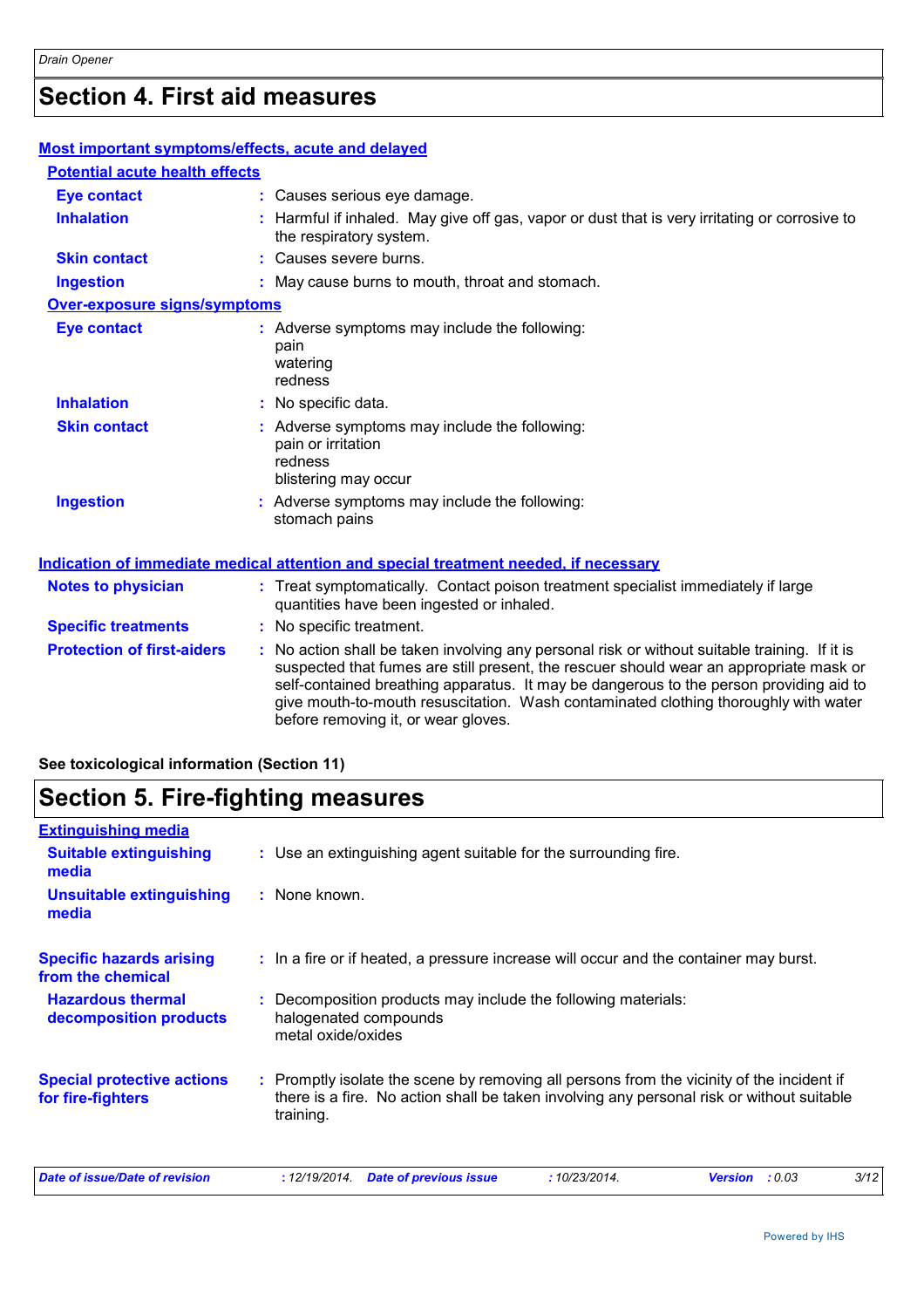## **Section 4. First aid measures**

| <b>Most important symptoms/effects, acute and delayed</b> |                                                                                                                                                                                                                                                                                                                                                                                                                 |
|-----------------------------------------------------------|-----------------------------------------------------------------------------------------------------------------------------------------------------------------------------------------------------------------------------------------------------------------------------------------------------------------------------------------------------------------------------------------------------------------|
| <b>Potential acute health effects</b>                     |                                                                                                                                                                                                                                                                                                                                                                                                                 |
| <b>Eye contact</b>                                        | : Causes serious eye damage.                                                                                                                                                                                                                                                                                                                                                                                    |
| <b>Inhalation</b>                                         | : Harmful if inhaled. May give off gas, vapor or dust that is very irritating or corrosive to<br>the respiratory system.                                                                                                                                                                                                                                                                                        |
| <b>Skin contact</b>                                       | : Causes severe burns.                                                                                                                                                                                                                                                                                                                                                                                          |
| <b>Ingestion</b>                                          | : May cause burns to mouth, throat and stomach.                                                                                                                                                                                                                                                                                                                                                                 |
| Over-exposure signs/symptoms                              |                                                                                                                                                                                                                                                                                                                                                                                                                 |
| <b>Eye contact</b>                                        | : Adverse symptoms may include the following:<br>pain<br>watering<br>redness                                                                                                                                                                                                                                                                                                                                    |
| <b>Inhalation</b>                                         | : No specific data.                                                                                                                                                                                                                                                                                                                                                                                             |
| <b>Skin contact</b>                                       | : Adverse symptoms may include the following:<br>pain or irritation<br>redness<br>blistering may occur                                                                                                                                                                                                                                                                                                          |
| <b>Ingestion</b>                                          | : Adverse symptoms may include the following:<br>stomach pains                                                                                                                                                                                                                                                                                                                                                  |
|                                                           | <b>Indication of immediate medical attention and special treatment needed, if necessary</b>                                                                                                                                                                                                                                                                                                                     |
| <b>Notes to physician</b>                                 | : Treat symptomatically. Contact poison treatment specialist immediately if large<br>quantities have been ingested or inhaled.                                                                                                                                                                                                                                                                                  |
| <b>Specific treatments</b>                                | : No specific treatment.                                                                                                                                                                                                                                                                                                                                                                                        |
| <b>Protection of first-aiders</b>                         | : No action shall be taken involving any personal risk or without suitable training. If it is<br>suspected that fumes are still present, the rescuer should wear an appropriate mask or<br>self-contained breathing apparatus. It may be dangerous to the person providing aid to<br>give mouth-to-mouth resuscitation. Wash contaminated clothing thoroughly with water<br>before removing it, or wear gloves. |

#### **See toxicological information (Section 11)**

## **Section 5. Fire-fighting measures**

| <b>Extinguishing media</b>                             |                                                                                                                                                                                                     |
|--------------------------------------------------------|-----------------------------------------------------------------------------------------------------------------------------------------------------------------------------------------------------|
| <b>Suitable extinguishing</b><br>media                 | : Use an extinguishing agent suitable for the surrounding fire.                                                                                                                                     |
| Unsuitable extinguishing<br>media                      | : None known.                                                                                                                                                                                       |
| <b>Specific hazards arising</b><br>from the chemical   | : In a fire or if heated, a pressure increase will occur and the container may burst.                                                                                                               |
| <b>Hazardous thermal</b><br>decomposition products     | : Decomposition products may include the following materials:<br>halogenated compounds<br>metal oxide/oxides                                                                                        |
| <b>Special protective actions</b><br>for fire-fighters | : Promptly isolate the scene by removing all persons from the vicinity of the incident if<br>there is a fire. No action shall be taken involving any personal risk or without suitable<br>training. |
| Date of issue/Date of revision                         | 3/12<br><b>Date of previous issue</b><br>:10/23/2014.<br>: 12/19/2014.<br><b>Version</b><br>: 0.03                                                                                                  |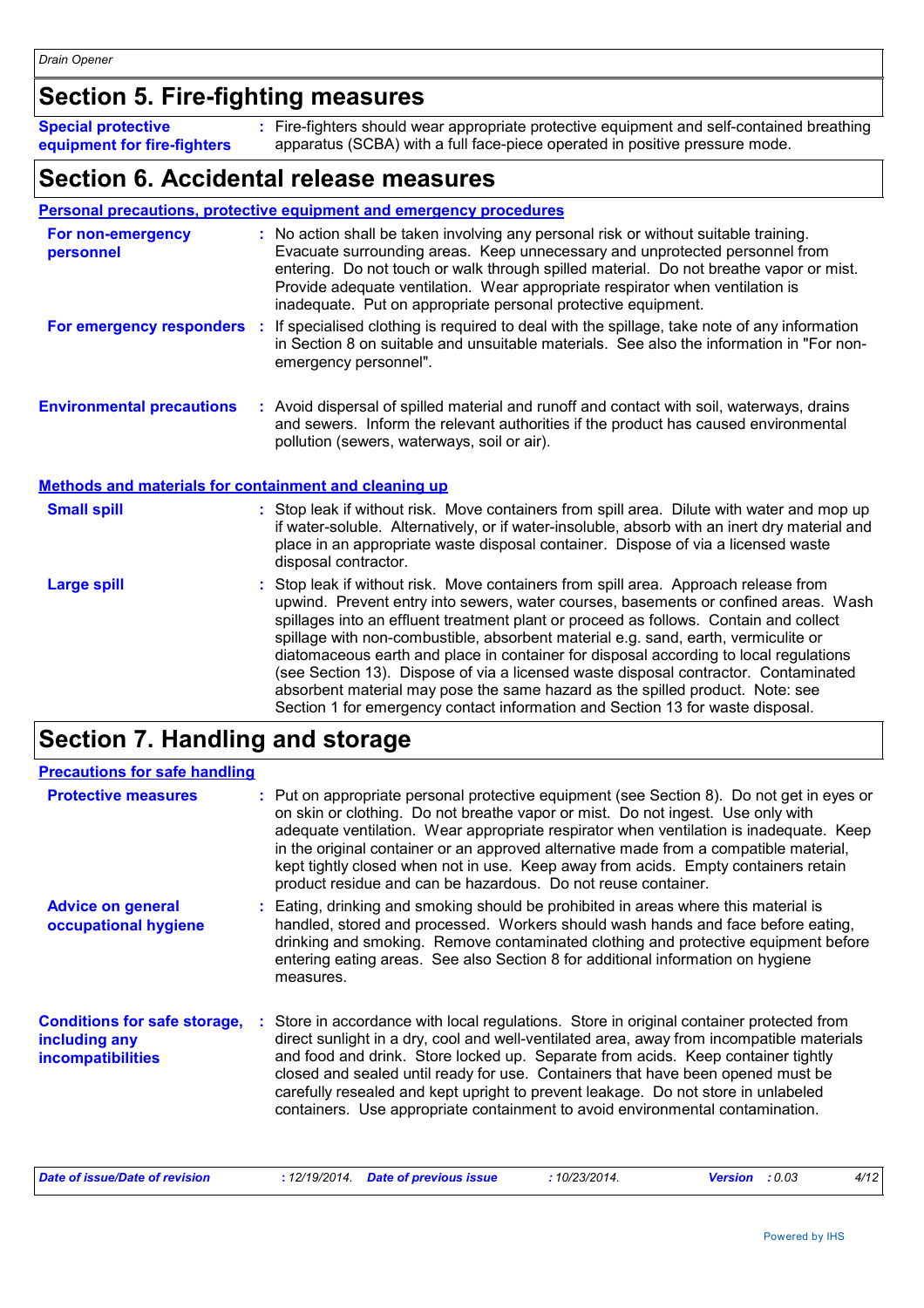## **Section 5. Fire-fighting measures**

Fire-fighters should wear appropriate protective equipment and self-contained breathing **:** apparatus (SCBA) with a full face-piece operated in positive pressure mode. **Special protective equipment for fire-fighters**

### **Section 6. Accidental release measures**

#### **Personal precautions, protective equipment and emergency procedures**

| For non-emergency<br>personnel                               | : No action shall be taken involving any personal risk or without suitable training.<br>Evacuate surrounding areas. Keep unnecessary and unprotected personnel from<br>entering. Do not touch or walk through spilled material. Do not breathe vapor or mist.<br>Provide adequate ventilation. Wear appropriate respirator when ventilation is<br>inadequate. Put on appropriate personal protective equipment. |
|--------------------------------------------------------------|-----------------------------------------------------------------------------------------------------------------------------------------------------------------------------------------------------------------------------------------------------------------------------------------------------------------------------------------------------------------------------------------------------------------|
| For emergency responders                                     | : If specialised clothing is required to deal with the spillage, take note of any information<br>in Section 8 on suitable and unsuitable materials. See also the information in "For non-<br>emergency personnel".                                                                                                                                                                                              |
| <b>Environmental precautions</b>                             | : Avoid dispersal of spilled material and runoff and contact with soil, waterways, drains<br>and sewers. Inform the relevant authorities if the product has caused environmental<br>pollution (sewers, waterways, soil or air).                                                                                                                                                                                 |
| <b>Methods and materials for containment and cleaning up</b> |                                                                                                                                                                                                                                                                                                                                                                                                                 |
| <b>Small spill</b>                                           | : Stop leak if without risk. Move containers from spill area. Dilute with water and mop up<br>if water-soluble. Alternatively, or if water-insoluble, absorb with an inert dry material and<br>place in an appropriate waste disposal container. Dispose of via a licensed waste<br>disposal contractor.                                                                                                        |
| Large spill                                                  | : Stop leak if without risk. Move containers from spill area. Approach release from<br>upwind Drovent entry into sewers water courses basements or confined areas Mash                                                                                                                                                                                                                                          |

upwind. Prevent entry into sewers, water courses, basements or confined areas. Wash spillages into an effluent treatment plant or proceed as follows. Contain and collect spillage with non-combustible, absorbent material e.g. sand, earth, vermiculite or diatomaceous earth and place in container for disposal according to local regulations (see Section 13). Dispose of via a licensed waste disposal contractor. Contaminated absorbent material may pose the same hazard as the spilled product. Note: see Section 1 for emergency contact information and Section 13 for waste disposal.

## **Section 7. Handling and storage**

| <b>Precautions for safe handling</b>                                             |                                                                                                                                                                                                                                                                                                                                                                                                                                                                                                                                    |
|----------------------------------------------------------------------------------|------------------------------------------------------------------------------------------------------------------------------------------------------------------------------------------------------------------------------------------------------------------------------------------------------------------------------------------------------------------------------------------------------------------------------------------------------------------------------------------------------------------------------------|
| <b>Protective measures</b>                                                       | : Put on appropriate personal protective equipment (see Section 8). Do not get in eyes or<br>on skin or clothing. Do not breathe vapor or mist. Do not ingest. Use only with<br>adequate ventilation. Wear appropriate respirator when ventilation is inadequate. Keep<br>in the original container or an approved alternative made from a compatible material,<br>kept tightly closed when not in use. Keep away from acids. Empty containers retain<br>product residue and can be hazardous. Do not reuse container.             |
| <b>Advice on general</b><br>occupational hygiene                                 | : Eating, drinking and smoking should be prohibited in areas where this material is<br>handled, stored and processed. Workers should wash hands and face before eating,<br>drinking and smoking. Remove contaminated clothing and protective equipment before<br>entering eating areas. See also Section 8 for additional information on hygiene<br>measures.                                                                                                                                                                      |
| <b>Conditions for safe storage,</b><br>including any<br><b>incompatibilities</b> | : Store in accordance with local regulations. Store in original container protected from<br>direct sunlight in a dry, cool and well-ventilated area, away from incompatible materials<br>and food and drink. Store locked up. Separate from acids. Keep container tightly<br>closed and sealed until ready for use. Containers that have been opened must be<br>carefully resealed and kept upright to prevent leakage. Do not store in unlabeled<br>containers. Use appropriate containment to avoid environmental contamination. |

| Date of issue/Date of revision | : 12/19/2014 Date of previous issue | 10/23/2014. | <b>Version</b> : 0.03 |  |
|--------------------------------|-------------------------------------|-------------|-----------------------|--|
|--------------------------------|-------------------------------------|-------------|-----------------------|--|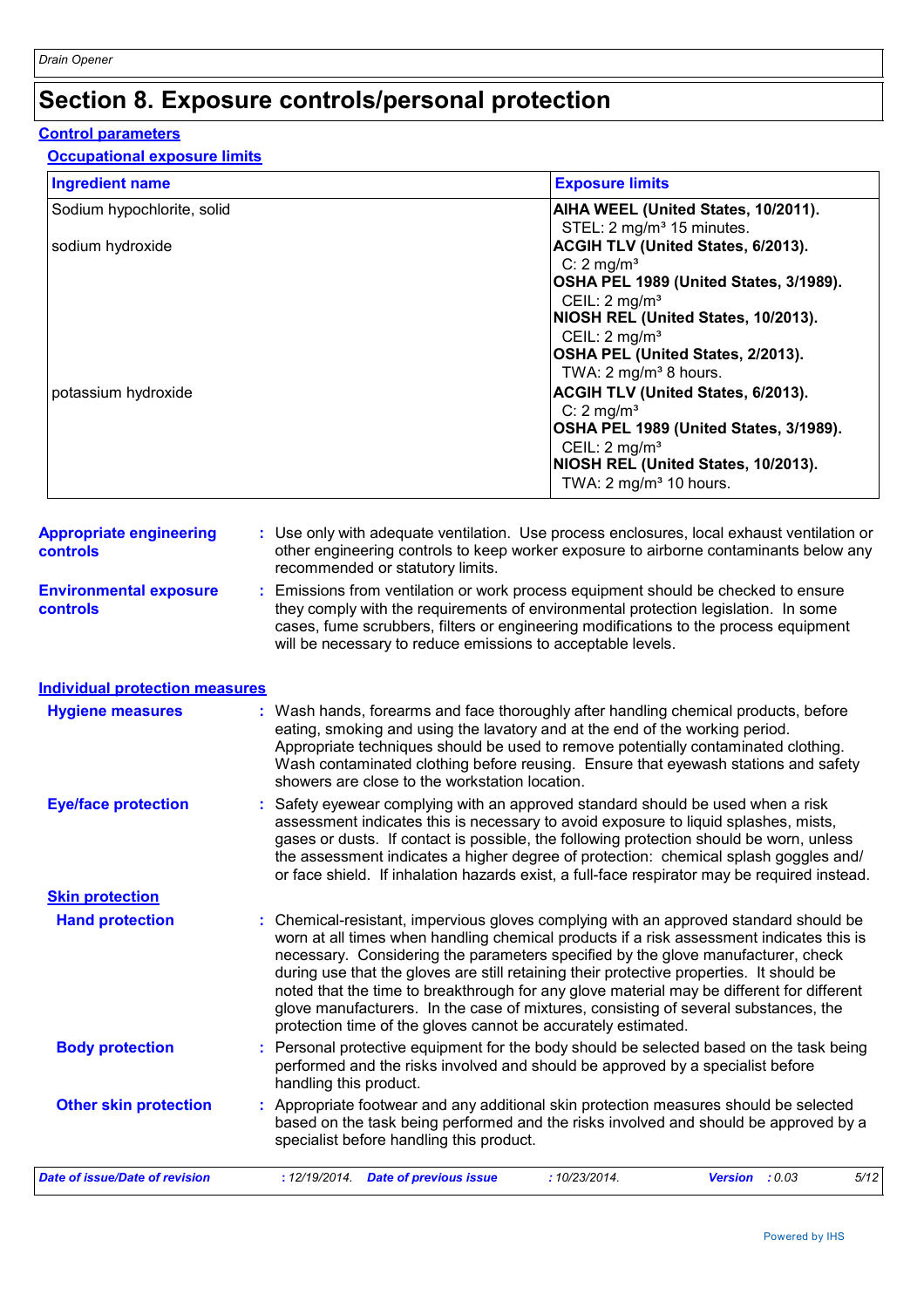## **Section 8. Exposure controls/personal protection**

#### **Control parameters**

#### **Occupational exposure limits**

| <b>Ingredient name</b>                     |                                                | <b>Exposure limits</b>                                                                                                                                                                                                                                                                                                                                                                                                                                                                                                                                                                                                 |                                                                                                                                                                                                 |      |
|--------------------------------------------|------------------------------------------------|------------------------------------------------------------------------------------------------------------------------------------------------------------------------------------------------------------------------------------------------------------------------------------------------------------------------------------------------------------------------------------------------------------------------------------------------------------------------------------------------------------------------------------------------------------------------------------------------------------------------|-------------------------------------------------------------------------------------------------------------------------------------------------------------------------------------------------|------|
| Sodium hypochlorite, solid                 |                                                |                                                                                                                                                                                                                                                                                                                                                                                                                                                                                                                                                                                                                        | AIHA WEEL (United States, 10/2011).                                                                                                                                                             |      |
| sodium hydroxide                           |                                                | STEL: 2 mg/m <sup>3</sup> 15 minutes.<br>C: $2 \text{ mg/m}^3$                                                                                                                                                                                                                                                                                                                                                                                                                                                                                                                                                         | ACGIH TLV (United States, 6/2013).<br>OSHA PEL 1989 (United States, 3/1989).                                                                                                                    |      |
| potassium hydroxide                        |                                                | CEIL: 2 mg/m <sup>3</sup><br>CEIL: 2 mg/m <sup>3</sup><br>TWA: 2 mg/m <sup>3</sup> 8 hours.<br>$C: 2$ mg/m <sup>3</sup><br>CEIL: 2 mg/m <sup>3</sup><br>TWA: 2 mg/m <sup>3</sup> 10 hours.                                                                                                                                                                                                                                                                                                                                                                                                                             | NIOSH REL (United States, 10/2013).<br>OSHA PEL (United States, 2/2013).<br>ACGIH TLV (United States, 6/2013).<br>OSHA PEL 1989 (United States, 3/1989).<br>NIOSH REL (United States, 10/2013). |      |
| <b>Appropriate engineering</b><br>controls | recommended or statutory limits.               | : Use only with adequate ventilation. Use process enclosures, local exhaust ventilation or<br>other engineering controls to keep worker exposure to airborne contaminants below any                                                                                                                                                                                                                                                                                                                                                                                                                                    |                                                                                                                                                                                                 |      |
| <b>Environmental exposure</b><br>controls  |                                                | : Emissions from ventilation or work process equipment should be checked to ensure<br>they comply with the requirements of environmental protection legislation. In some<br>cases, fume scrubbers, filters or engineering modifications to the process equipment<br>will be necessary to reduce emissions to acceptable levels.                                                                                                                                                                                                                                                                                        |                                                                                                                                                                                                 |      |
| <b>Individual protection measures</b>      |                                                |                                                                                                                                                                                                                                                                                                                                                                                                                                                                                                                                                                                                                        |                                                                                                                                                                                                 |      |
| <b>Hygiene measures</b>                    | showers are close to the workstation location. | : Wash hands, forearms and face thoroughly after handling chemical products, before<br>eating, smoking and using the lavatory and at the end of the working period.<br>Appropriate techniques should be used to remove potentially contaminated clothing.<br>Wash contaminated clothing before reusing. Ensure that eyewash stations and safety                                                                                                                                                                                                                                                                        |                                                                                                                                                                                                 |      |
| <b>Eye/face protection</b>                 |                                                | : Safety eyewear complying with an approved standard should be used when a risk<br>assessment indicates this is necessary to avoid exposure to liquid splashes, mists,<br>gases or dusts. If contact is possible, the following protection should be worn, unless<br>the assessment indicates a higher degree of protection: chemical splash goggles and/<br>or face shield. If inhalation hazards exist, a full-face respirator may be required instead.                                                                                                                                                              |                                                                                                                                                                                                 |      |
| <b>Skin protection</b>                     |                                                |                                                                                                                                                                                                                                                                                                                                                                                                                                                                                                                                                                                                                        |                                                                                                                                                                                                 |      |
| <b>Hand protection</b>                     |                                                | : Chemical-resistant, impervious gloves complying with an approved standard should be<br>worn at all times when handling chemical products if a risk assessment indicates this is<br>necessary. Considering the parameters specified by the glove manufacturer, check<br>during use that the gloves are still retaining their protective properties. It should be<br>noted that the time to breakthrough for any glove material may be different for different<br>glove manufacturers. In the case of mixtures, consisting of several substances, the<br>protection time of the gloves cannot be accurately estimated. |                                                                                                                                                                                                 |      |
| <b>Body protection</b>                     | handling this product.                         | : Personal protective equipment for the body should be selected based on the task being<br>performed and the risks involved and should be approved by a specialist before                                                                                                                                                                                                                                                                                                                                                                                                                                              |                                                                                                                                                                                                 |      |
| <b>Other skin protection</b>               | specialist before handling this product.       | : Appropriate footwear and any additional skin protection measures should be selected<br>based on the task being performed and the risks involved and should be approved by a                                                                                                                                                                                                                                                                                                                                                                                                                                          |                                                                                                                                                                                                 |      |
| Date of issue/Date of revision             | : 12/19/2014 Date of previous issue            | : 10/23/2014.                                                                                                                                                                                                                                                                                                                                                                                                                                                                                                                                                                                                          | Version : 0.03                                                                                                                                                                                  | 5/12 |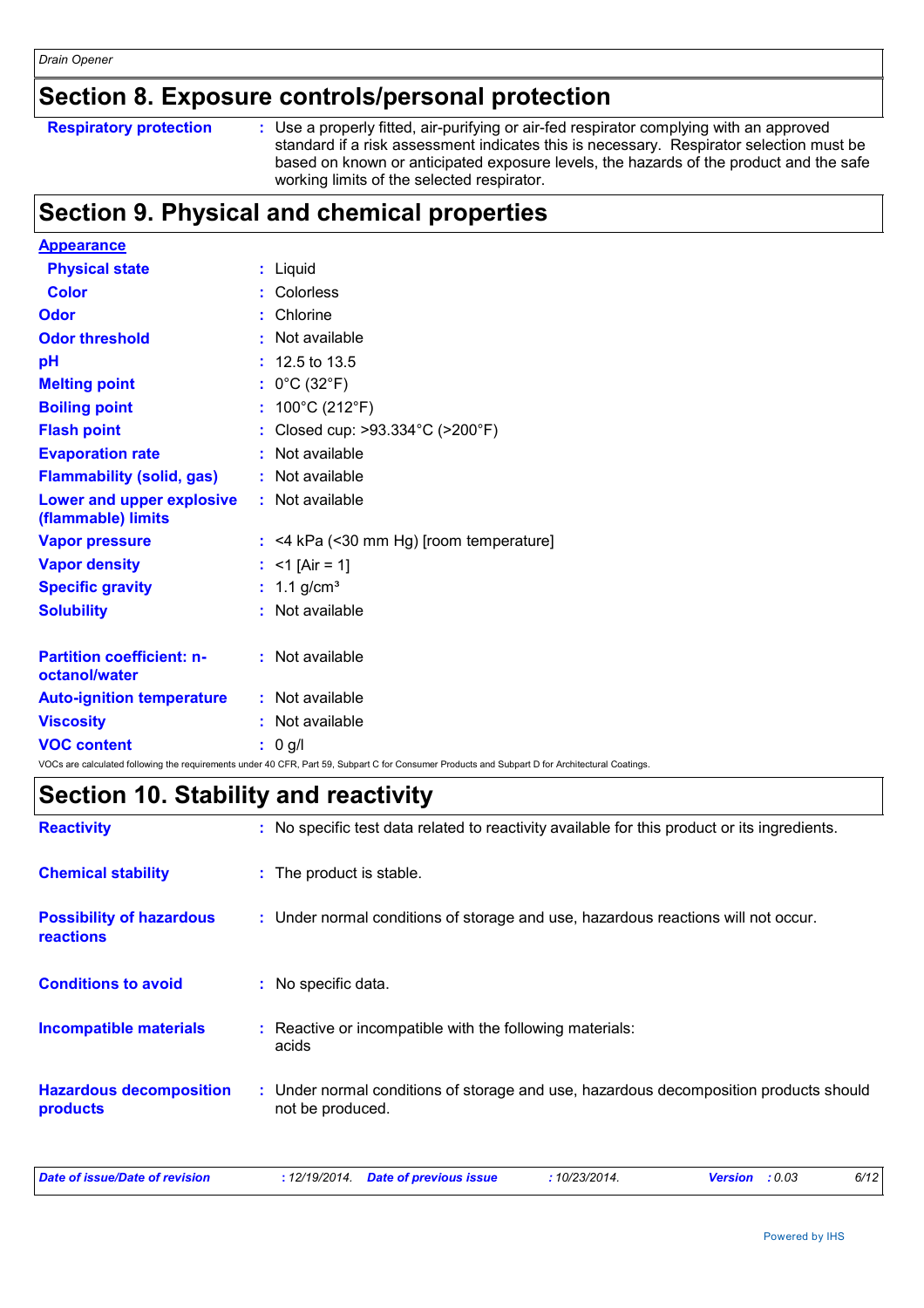### **Section 8. Exposure controls/personal protection**

```
Respiratory protection :
```
Use a properly fitted, air-purifying or air-fed respirator complying with an approved standard if a risk assessment indicates this is necessary. Respirator selection must be based on known or anticipated exposure levels, the hazards of the product and the safe working limits of the selected respirator.

## **Section 9. Physical and chemical properties**

| <b>Appearance</b>                                      |                                                                                                                                                 |
|--------------------------------------------------------|-------------------------------------------------------------------------------------------------------------------------------------------------|
| <b>Physical state</b>                                  | : Liquid                                                                                                                                        |
| <b>Color</b>                                           | Colorless<br>÷.                                                                                                                                 |
| <b>Odor</b>                                            | Chlorine<br>-11                                                                                                                                 |
| <b>Odor threshold</b>                                  | Not available                                                                                                                                   |
| pH                                                     | 12.5 to 13.5                                                                                                                                    |
| <b>Melting point</b>                                   | : $0^{\circ}$ C (32 $^{\circ}$ F)                                                                                                               |
| <b>Boiling point</b>                                   | : $100^{\circ}$ C (212 $^{\circ}$ F)                                                                                                            |
| <b>Flash point</b>                                     | Closed cup: >93.334°C (>200°F)                                                                                                                  |
| <b>Evaporation rate</b>                                | Not available                                                                                                                                   |
| <b>Flammability (solid, gas)</b>                       | Not available                                                                                                                                   |
| <b>Lower and upper explosive</b><br>(flammable) limits | : Not available                                                                                                                                 |
| <b>Vapor pressure</b>                                  | $:$ <4 kPa (<30 mm Hg) [room temperature]                                                                                                       |
| <b>Vapor density</b>                                   | : $<$ 1 [Air = 1]                                                                                                                               |
| <b>Specific gravity</b>                                | : $1.1$ g/cm <sup>3</sup>                                                                                                                       |
| <b>Solubility</b>                                      | Not available<br>÷                                                                                                                              |
| <b>Partition coefficient: n-</b><br>octanol/water      | : Not available                                                                                                                                 |
| <b>Auto-ignition temperature</b>                       | : Not available                                                                                                                                 |
| <b>Viscosity</b>                                       | Not available                                                                                                                                   |
| <b>VOC content</b>                                     | : 0 g/l                                                                                                                                         |
|                                                        | VOCs are calculated following the requirements under 40 CFR, Part 59, Subpart C for Consumer Products and Subpart D for Architectural Coatings. |

## **Section 10. Stability and reactivity**

| <b>Reactivity</b>                                   | : No specific test data related to reactivity available for this product or its ingredients.              |
|-----------------------------------------------------|-----------------------------------------------------------------------------------------------------------|
| <b>Chemical stability</b>                           | : The product is stable.                                                                                  |
| <b>Possibility of hazardous</b><br><b>reactions</b> | : Under normal conditions of storage and use, hazardous reactions will not occur.                         |
| <b>Conditions to avoid</b>                          | : No specific data.                                                                                       |
| <b>Incompatible materials</b>                       | Reactive or incompatible with the following materials:<br>acids                                           |
| <b>Hazardous decomposition</b><br>products          | : Under normal conditions of storage and use, hazardous decomposition products should<br>not be produced. |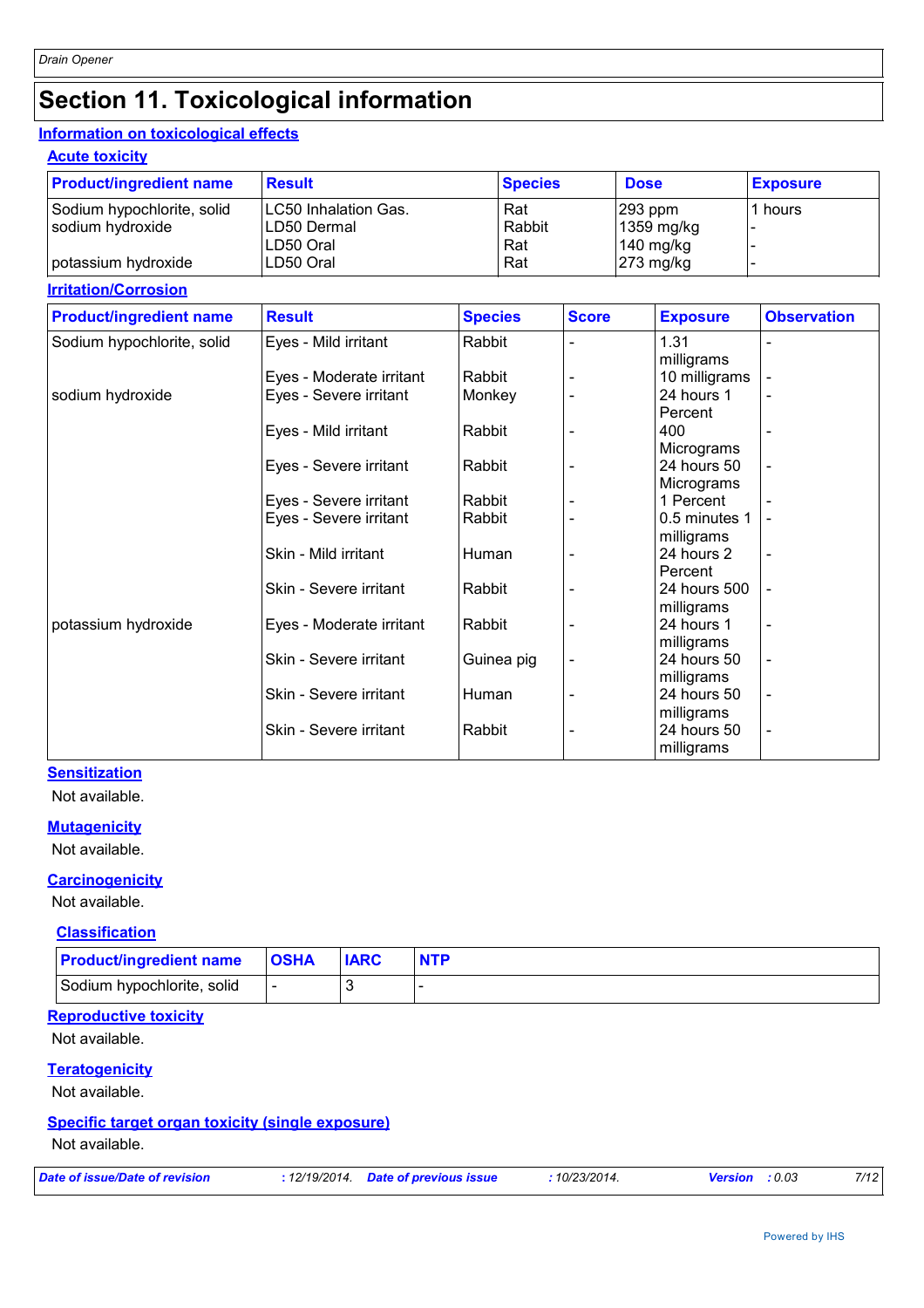## **Section 11. Toxicological information**

#### **Information on toxicological effects**

**Acute toxicity**

| <b>Product/ingredient name</b> | <b>Result</b>                | <b>Species</b> | <b>Dose</b> | <b>Exposure</b> |
|--------------------------------|------------------------------|----------------|-------------|-----------------|
| Sodium hypochlorite, solid     | <b>ILC50 Inhalation Gas.</b> | Rat            | $ 293$ ppm  | 1 hours         |
| sodium hydroxide               | ILD50 Dermal                 | Rabbit         | 1359 mg/kg  |                 |
|                                | LD50 Oral                    | Rat            | $140$ mg/kg |                 |
| potassium hydroxide            | LD50 Oral                    | Rat            | $273$ mg/kg |                 |

#### **Irritation/Corrosion**

| <b>Product/ingredient name</b> | <b>Result</b>            | <b>Species</b> | <b>Score</b> | <b>Exposure</b> | <b>Observation</b>       |
|--------------------------------|--------------------------|----------------|--------------|-----------------|--------------------------|
| Sodium hypochlorite, solid     | Eyes - Mild irritant     | Rabbit         |              | 1.31            |                          |
|                                |                          |                |              | milligrams      |                          |
|                                | Eyes - Moderate irritant | Rabbit         |              | 10 milligrams   |                          |
| sodium hydroxide               | Eyes - Severe irritant   | Monkey         |              | 24 hours 1      |                          |
|                                |                          |                |              | Percent         |                          |
|                                | Eyes - Mild irritant     | Rabbit         |              | 400             |                          |
|                                |                          |                |              | Micrograms      |                          |
|                                | Eyes - Severe irritant   | Rabbit         |              | 24 hours 50     |                          |
|                                |                          |                |              | Micrograms      |                          |
|                                | Eyes - Severe irritant   | Rabbit         |              | 1 Percent       |                          |
|                                | Eyes - Severe irritant   | Rabbit         |              | 0.5 minutes 1   |                          |
|                                |                          |                |              | milligrams      |                          |
|                                | Skin - Mild irritant     | Human          |              | 24 hours 2      |                          |
|                                |                          |                |              | Percent         |                          |
|                                | Skin - Severe irritant   | Rabbit         |              | 24 hours 500    |                          |
|                                |                          |                |              | milligrams      |                          |
| potassium hydroxide            | Eyes - Moderate irritant | Rabbit         |              | 24 hours 1      |                          |
|                                |                          |                |              | milligrams      |                          |
|                                | Skin - Severe irritant   | Guinea pig     |              | 24 hours 50     | $\overline{a}$           |
|                                |                          |                |              | milligrams      |                          |
|                                | Skin - Severe irritant   | Human          |              | 24 hours 50     | $\overline{\phantom{a}}$ |
|                                |                          |                |              | milligrams      |                          |
|                                | Skin - Severe irritant   | Rabbit         |              | 24 hours 50     | $\blacksquare$           |
|                                |                          |                |              | milligrams      |                          |

#### **Sensitization**

Not available.

#### **Mutagenicity**

Not available.

#### **Carcinogenicity**

Not available.

#### **Classification**

| <b>Product/ingredient name</b> | <b>OSHA</b> | <b>IARC</b> | <b>NTP</b> |
|--------------------------------|-------------|-------------|------------|
| Sodium hypochlorite, solid     |             |             |            |

#### **Reproductive toxicity**

Not available.

#### **Teratogenicity**

Not available.

#### **Specific target organ toxicity (single exposure)**

Not available.

| Date of issue/Date of revision | : 12/19/2014 Date of previous issue | 10/23/2014. | <b>Version</b> : 0.03 | 7/12 |
|--------------------------------|-------------------------------------|-------------|-----------------------|------|
|                                |                                     |             |                       |      |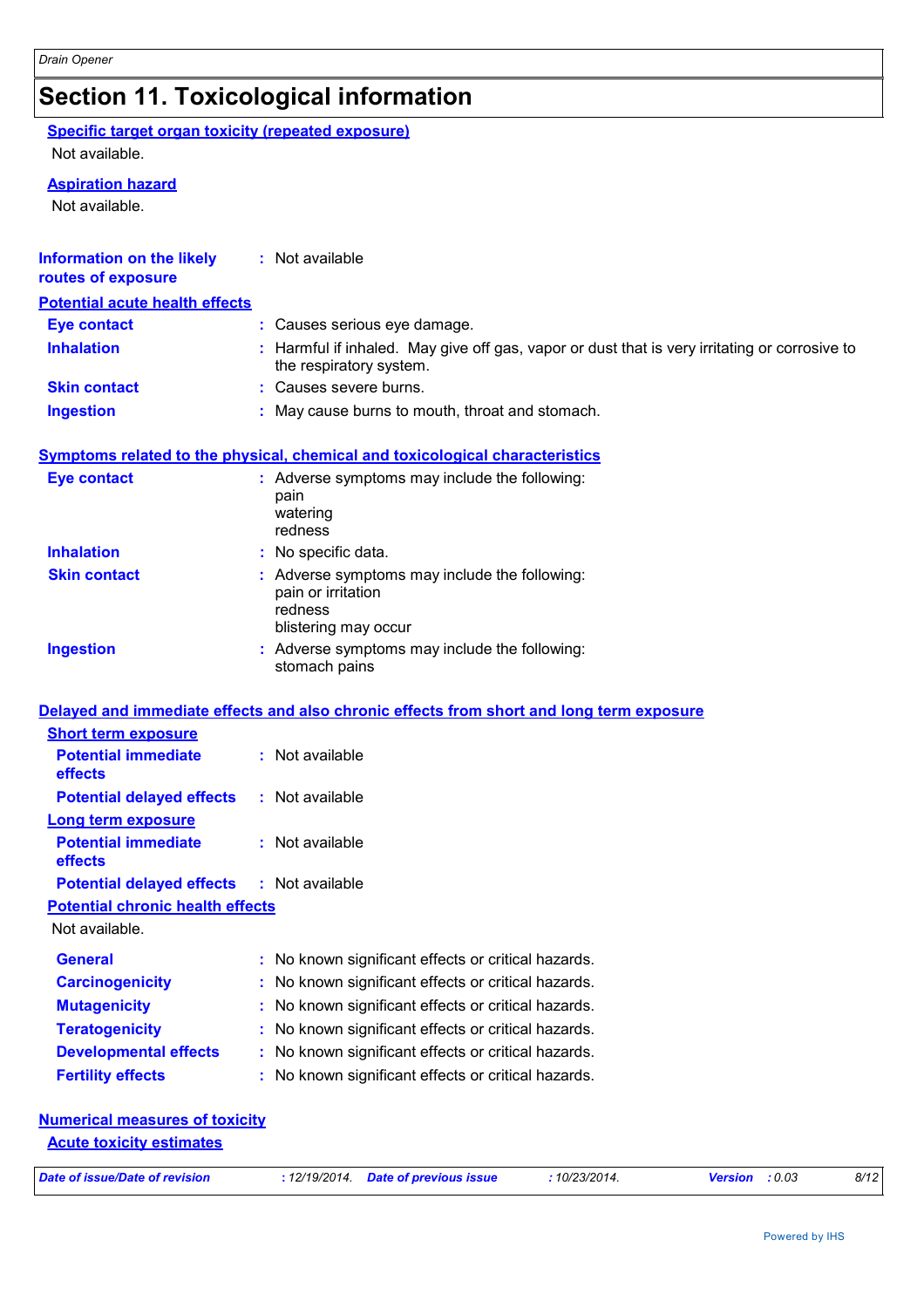## **Section 11. Toxicological information**

**Specific target organ toxicity (repeated exposure)**

Not available.

#### **Aspiration hazard**

Not available.

| routes of exposure                      | : Not available                                                                                                          |
|-----------------------------------------|--------------------------------------------------------------------------------------------------------------------------|
| <b>Potential acute health effects</b>   |                                                                                                                          |
| <b>Eye contact</b>                      | : Causes serious eye damage.                                                                                             |
| <b>Inhalation</b>                       | : Harmful if inhaled. May give off gas, vapor or dust that is very irritating or corrosive to<br>the respiratory system. |
| <b>Skin contact</b>                     | : Causes severe burns.                                                                                                   |
| <b>Ingestion</b>                        | : May cause burns to mouth, throat and stomach.                                                                          |
|                                         | <b>Symptoms related to the physical, chemical and toxicological characteristics</b>                                      |
| <b>Eye contact</b>                      | : Adverse symptoms may include the following:<br>pain<br>watering<br>redness                                             |
| <b>Inhalation</b>                       | : No specific data.                                                                                                      |
| <b>Skin contact</b>                     | : Adverse symptoms may include the following:<br>pain or irritation<br>redness<br>blistering may occur                   |
|                                         | : Adverse symptoms may include the following:                                                                            |
| <b>Ingestion</b>                        | stomach pains                                                                                                            |
|                                         | Delayed and immediate effects and also chronic effects from short and long term exposure                                 |
| <b>Short term exposure</b>              |                                                                                                                          |
| <b>Potential immediate</b><br>effects   | : Not available                                                                                                          |
| <b>Potential delayed effects</b>        | : Not available                                                                                                          |
| <b>Long term exposure</b>               |                                                                                                                          |
| <b>Potential immediate</b><br>effects   | : Not available                                                                                                          |
| <b>Potential delayed effects</b>        | : Not available                                                                                                          |
| <b>Potential chronic health effects</b> |                                                                                                                          |
| Not available.                          |                                                                                                                          |
| <b>General</b>                          | : No known significant effects or critical hazards.                                                                      |
| <b>Carcinogenicity</b>                  | No known significant effects or critical hazards.                                                                        |
| <b>Mutagenicity</b>                     | No known significant effects or critical hazards.                                                                        |
| <b>Teratogenicity</b>                   | No known significant effects or critical hazards.                                                                        |
| <b>Developmental effects</b>            | No known significant effects or critical hazards.                                                                        |

**Acute toxicity estimates**

*Date of issue/Date of revision* **:** *12/19/2014. Date of previous issue : 10/23/2014. Version : 0.03 8/12*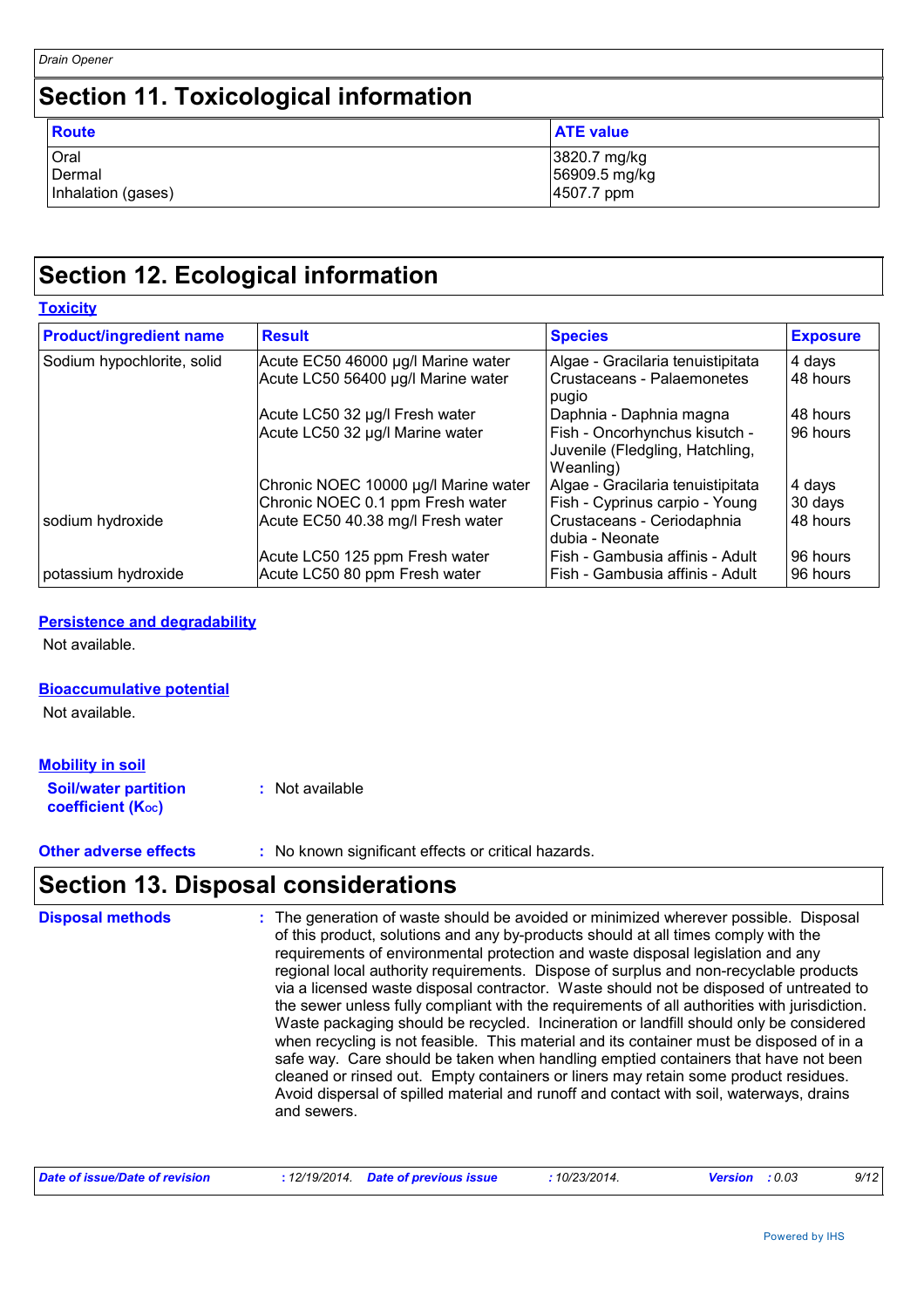**Toxicity**

### **Section 11. Toxicological information**

| Route              | <b>ATE value</b> |
|--------------------|------------------|
| Oral               | 3820.7 mg/kg     |
| Dermal             | 56909.5 mg/kg    |
| Inhalation (gases) | 4507.7 ppm       |

## **Section 12. Ecological information**

| <b>Product/ingredient name</b> | <b>Result</b>                        | <b>Species</b>                                                                | <b>Exposure</b> |
|--------------------------------|--------------------------------------|-------------------------------------------------------------------------------|-----------------|
| Sodium hypochlorite, solid     | Acute EC50 46000 µg/l Marine water   | Algae - Gracilaria tenuistipitata                                             | 4 days          |
|                                | Acute LC50 56400 µg/l Marine water   | Crustaceans - Palaemonetes<br>pugio                                           | 48 hours        |
|                                | Acute LC50 32 µg/l Fresh water       | Daphnia - Daphnia magna                                                       | 48 hours        |
|                                | Acute LC50 32 µg/l Marine water      | Fish - Oncorhynchus kisutch -<br>Juvenile (Fledgling, Hatchling,<br>Weanling) | 96 hours        |
|                                | Chronic NOEC 10000 µg/l Marine water | Algae - Gracilaria tenuistipitata                                             | 4 days          |
|                                | Chronic NOEC 0.1 ppm Fresh water     | Fish - Cyprinus carpio - Young                                                | 30 days         |
| sodium hydroxide               | Acute EC50 40.38 mg/l Fresh water    | Crustaceans - Ceriodaphnia<br>dubia - Neonate                                 | 48 hours        |
|                                | Acute LC50 125 ppm Fresh water       | Fish - Gambusia affinis - Adult                                               | 96 hours        |
| potassium hydroxide            | Acute LC50 80 ppm Fresh water        | Fish - Gambusia affinis - Adult                                               | 96 hours        |

#### **Persistence and degradability**

Not available.

#### **Bioaccumulative potential**

Not available.

#### **Soil/water partition coefficient (KOC) :** Not available **Mobility in soil**

**Other adverse effects** : No known significant effects or critical hazards.

### **Section 13. Disposal considerations**

The generation of waste should be avoided or minimized wherever possible. Disposal of this product, solutions and any by-products should at all times comply with the requirements of environmental protection and waste disposal legislation and any regional local authority requirements. Dispose of surplus and non-recyclable products via a licensed waste disposal contractor. Waste should not be disposed of untreated to the sewer unless fully compliant with the requirements of all authorities with jurisdiction. Waste packaging should be recycled. Incineration or landfill should only be considered when recycling is not feasible. This material and its container must be disposed of in a safe way. Care should be taken when handling emptied containers that have not been cleaned or rinsed out. Empty containers or liners may retain some product residues. Avoid dispersal of spilled material and runoff and contact with soil, waterways, drains and sewers. **Disposal methods :**

| Date of issue/Date of revision |  | : 12/19/2014 Date of previous issue | 10/23/2014. | <b>Version</b> : 0.03 |  | 9/12 |
|--------------------------------|--|-------------------------------------|-------------|-----------------------|--|------|
|--------------------------------|--|-------------------------------------|-------------|-----------------------|--|------|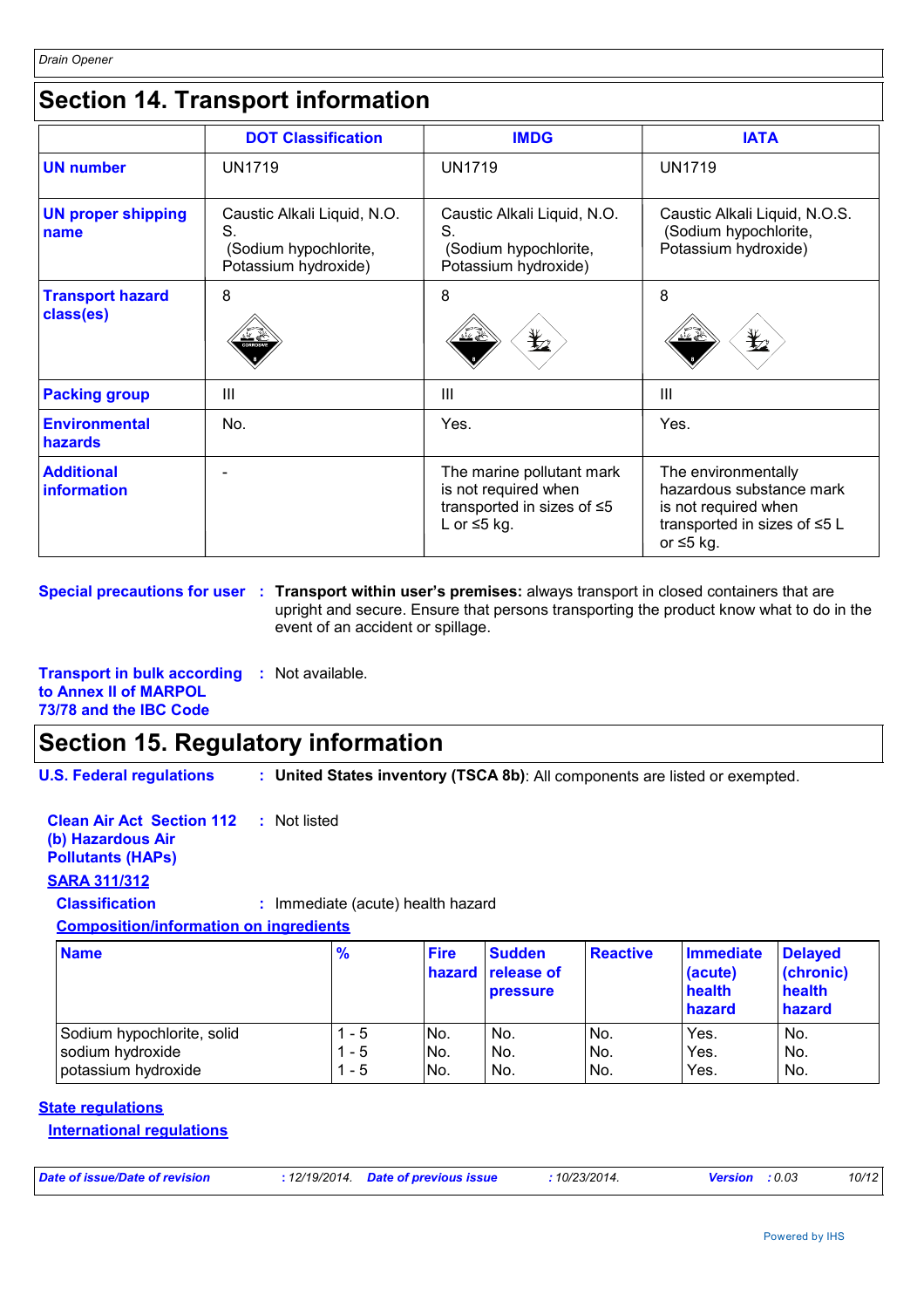## **Section 14. Transport information**

|                                        | <b>DOT Classification</b>                                                          | <b>IMDG</b>                                                                                                | <b>IATA</b>                                                                                                                |
|----------------------------------------|------------------------------------------------------------------------------------|------------------------------------------------------------------------------------------------------------|----------------------------------------------------------------------------------------------------------------------------|
| <b>UN number</b>                       | <b>UN1719</b>                                                                      | <b>UN1719</b>                                                                                              | <b>UN1719</b>                                                                                                              |
| <b>UN proper shipping</b><br>name      | Caustic Alkali Liquid, N.O.<br>S.<br>(Sodium hypochlorite,<br>Potassium hydroxide) | Caustic Alkali Liquid, N.O.<br>S.<br>(Sodium hypochlorite,<br>Potassium hydroxide)                         | Caustic Alkali Liquid, N.O.S.<br>(Sodium hypochlorite,<br>Potassium hydroxide)                                             |
| <b>Transport hazard</b><br>class(es)   | 8<br>CORROSIV                                                                      | 8<br>$\bigstar_{2}$<br>∋ گ'                                                                                | 8<br>≵2                                                                                                                    |
| <b>Packing group</b>                   | III                                                                                | Ш                                                                                                          | $\mathbf{III}$                                                                                                             |
| <b>Environmental</b><br><b>hazards</b> | No.                                                                                | Yes.                                                                                                       | Yes.                                                                                                                       |
| <b>Additional</b><br>information       |                                                                                    | The marine pollutant mark<br>is not required when<br>transported in sizes of $\leq 5$<br>L or $\leq$ 5 kg. | The environmentally<br>hazardous substance mark<br>is not required when<br>transported in sizes of ≤5 L<br>or $\leq 5$ kg. |

**Special precautions for user : Transport within user's premises: always transport in closed containers that are** upright and secure. Ensure that persons transporting the product know what to do in the event of an accident or spillage.

**Transport in bulk according :** Not available. **to Annex II of MARPOL 73/78 and the IBC Code**

## **Section 15. Regulatory information**

**U.S. Federal regulations :**

**United States inventory (TSCA 8b)**: All components are listed or exempted.

**Clean Air Act Section 112 (b) Hazardous Air :** Not listed

#### **Pollutants (HAPs)**

**SARA 311/312**

**Classification :** Immediate (acute) health hazard

#### **Composition/information on ingredients**

| <b>Name</b>                | $\frac{9}{6}$ | <b>Fire</b> | <b>Sudden</b><br>hazard release of<br><b>pressure</b> | <b>Reactive</b> | <b>Immediate</b><br>(acute)<br>health<br>hazard | <b>Delayed</b><br>(chronic)<br>health<br>hazard |
|----------------------------|---------------|-------------|-------------------------------------------------------|-----------------|-------------------------------------------------|-------------------------------------------------|
| Sodium hypochlorite, solid | - 5           | INo.        | No.                                                   | No.             | Yes.                                            | No.                                             |
| sodium hydroxide           | 1 - 5         | No.         | No.                                                   | No.             | Yes.                                            | No.                                             |
| potassium hydroxide        | 1 - 5         | No.         | No.                                                   | No.             | Yes.                                            | No.                                             |

#### **State regulations**

**International regulations**

| Date of issue/Date of revision | : 12/19/2014 Date of previous issue | .10/23/2014. | <b>Version</b> : 0.03 | 10/12 |
|--------------------------------|-------------------------------------|--------------|-----------------------|-------|
|                                |                                     |              |                       |       |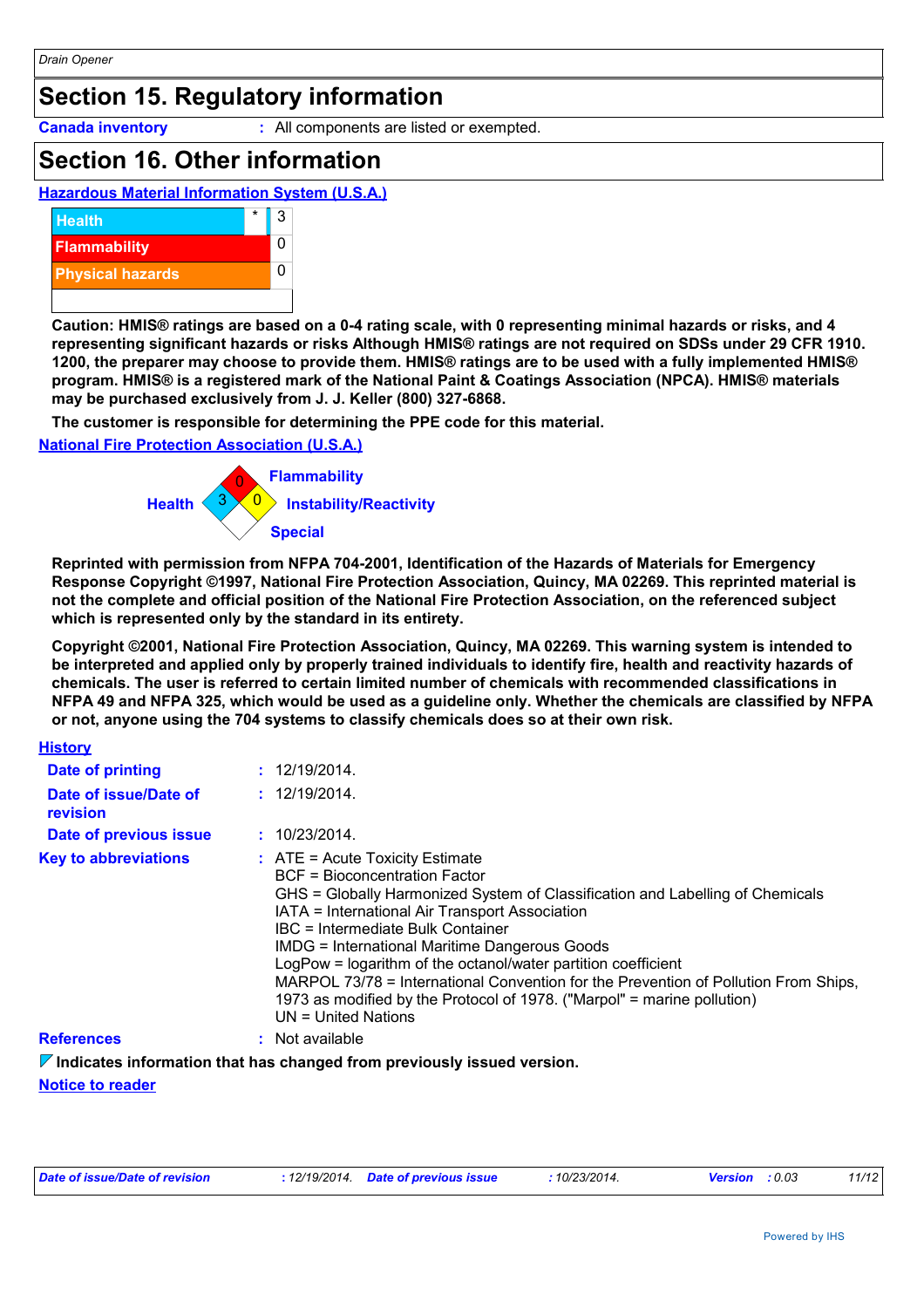## **Section 15. Regulatory information**

**Canada inventory :** All components are listed or exempted.

### **Section 16. Other information**

**Hazardous Material Information System (U.S.A.)**



**Caution: HMIS® ratings are based on a 0-4 rating scale, with 0 representing minimal hazards or risks, and 4 representing significant hazards or risks Although HMIS® ratings are not required on SDSs under 29 CFR 1910. 1200, the preparer may choose to provide them. HMIS® ratings are to be used with a fully implemented HMIS® program. HMIS® is a registered mark of the National Paint & Coatings Association (NPCA). HMIS® materials may be purchased exclusively from J. J. Keller (800) 327-6868.**

**The customer is responsible for determining the PPE code for this material.**

#### **National Fire Protection Association (U.S.A.)**



**Reprinted with permission from NFPA 704-2001, Identification of the Hazards of Materials for Emergency Response Copyright ©1997, National Fire Protection Association, Quincy, MA 02269. This reprinted material is not the complete and official position of the National Fire Protection Association, on the referenced subject which is represented only by the standard in its entirety.**

**Copyright ©2001, National Fire Protection Association, Quincy, MA 02269. This warning system is intended to be interpreted and applied only by properly trained individuals to identify fire, health and reactivity hazards of chemicals. The user is referred to certain limited number of chemicals with recommended classifications in NFPA 49 and NFPA 325, which would be used as a guideline only. Whether the chemicals are classified by NFPA or not, anyone using the 704 systems to classify chemicals does so at their own risk.**

| <b>History</b>                    |                                                                                                                                                                                                                                                                                                                                                                                                                                                                                                                                                                         |
|-----------------------------------|-------------------------------------------------------------------------------------------------------------------------------------------------------------------------------------------------------------------------------------------------------------------------------------------------------------------------------------------------------------------------------------------------------------------------------------------------------------------------------------------------------------------------------------------------------------------------|
| Date of printing                  | : 12/19/2014.                                                                                                                                                                                                                                                                                                                                                                                                                                                                                                                                                           |
| Date of issue/Date of<br>revision | : 12/19/2014.                                                                                                                                                                                                                                                                                                                                                                                                                                                                                                                                                           |
| Date of previous issue            | : 10/23/2014.                                                                                                                                                                                                                                                                                                                                                                                                                                                                                                                                                           |
| <b>Key to abbreviations</b>       | $\therefore$ ATE = Acute Toxicity Estimate<br>BCF = Bioconcentration Factor<br>GHS = Globally Harmonized System of Classification and Labelling of Chemicals<br>IATA = International Air Transport Association<br>IBC = Intermediate Bulk Container<br><b>IMDG = International Maritime Dangerous Goods</b><br>LogPow = logarithm of the octanol/water partition coefficient<br>MARPOL 73/78 = International Convention for the Prevention of Pollution From Ships,<br>1973 as modified by the Protocol of 1978. ("Marpol" = marine pollution)<br>$UN = United Nations$ |
| <b>References</b>                 | : Not available                                                                                                                                                                                                                                                                                                                                                                                                                                                                                                                                                         |

**Indicates information that has changed from previously issued version.**

#### **Notice to reader**

| Date of issue/Date of revision | : 12/19/2014 Date of previous issue |  | 10/23/2014. | <b>Version</b> : 0.03 |  | 11/12 |
|--------------------------------|-------------------------------------|--|-------------|-----------------------|--|-------|
|--------------------------------|-------------------------------------|--|-------------|-----------------------|--|-------|